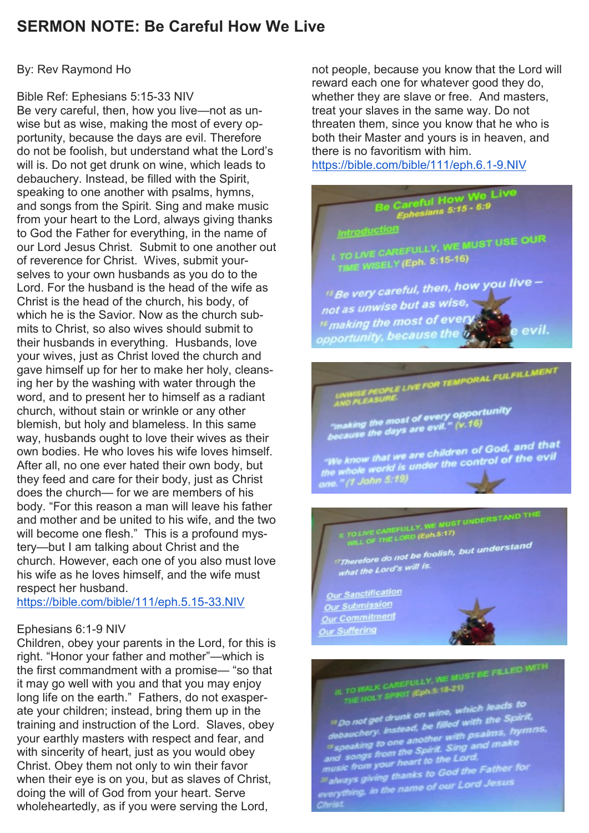### **SERMON NOTE: Be Careful How We Live**

### By: Rev Raymond Ho

### Bible Ref: Ephesians 5:15-33 NIV

Be very careful, then, how you live—not as unwise but as wise, making the most of every opportunity, because the days are evil. Therefore do not be foolish, but understand what the Lord's will is. Do not get drunk on wine, which leads to debauchery. Instead, be filled with the Spirit, speaking to one another with psalms, hymns, and songs from the Spirit. Sing and make music from your heart to the Lord, always giving thanks to God the Father for everything, in the name of our Lord Jesus Christ. Submit to one another out of reverence for Christ. Wives, submit yourselves to your own husbands as you do to the Lord. For the husband is the head of the wife as Christ is the head of the church, his body, of which he is the Savior. Now as the church submits to Christ, so also wives should submit to their husbands in everything. Husbands, love your wives, just as Christ loved the church and gave himself up for her to make her holy, cleansing her by the washing with water through the word, and to present her to himself as a radiant church, without stain or wrinkle or any other blemish, but holy and blameless. In this same way, husbands ought to love their wives as their own bodies. He who loves his wife loves himself. After all, no one ever hated their own body, but they feed and care for their body, just as Christ does the church— for we are members of his body. "For this reason a man will leave his father and mother and be united to his wife, and the two will become one flesh." This is a profound mystery—but I am talking about Christ and the church. However, each one of you also must love his wife as he loves himself, and the wife must respect her husband.

<https://bible.com/bible/111/eph.5.15-33.NIV>

### Ephesians 6:1-9 NIV

Children, obey your parents in the Lord, for this is right. "Honor your father and mother"—which is the first commandment with a promise— "so that it may go well with you and that you may enjoy long life on the earth." Fathers, do not exasperate your children; instead, bring them up in the training and instruction of the Lord. Slaves, obey your earthly masters with respect and fear, and with sincerity of heart, just as you would obey Christ. Obey them not only to win their favor when their eye is on you, but as slaves of Christ, doing the will of God from your heart. Serve wholeheartedly, as if you were serving the Lord,

not people, because you know that the Lord will reward each one for whatever good they do, whether they are slave or free. And masters, treat your slaves in the same way. Do not threaten them, since you know that he who is both their Master and yours is in heaven, and there is no favoritism with him. <https://bible.com/bible/111/eph.6.1-9.NIV>

Be Careful How We Live<br>  $E_{\text{pheslans}}$  5:15 - 6:9 **Arnduction** Introduction:<br>L. TO LIVE CAREFULLY, WE MUST USE OUR TIME WISELY (Eph. 5:15-16) 15 Be very careful, then, how you live not as unwise but as wise, <sup>16</sup> making the most of every opportunity, because the evil. UNWISE PEOPLE LIVE FOR TEMPORAL FULFILLM

AND FLEW<br>
"making the most of every opportunity"<br>because the days are evil." (v.16)

because the control of God, and that<br>-We know that we are children of God, and that "We know that we are children of God, and triat<br>the whole world is under the control of the evil<br>one." (1 John 5:19)

TO LIVE CAREFULLY, WE MUST UNDERSTAND THE<br>WILL OF THE LORD (Eph.5:17)

will be the Luncal condition, but understand<br>Therefore do not be foolish, but understand what the Lord's will is

**Our Sanctification** Our Submission Our Commitment **Our Suffering** 



# III. TO WALK CAREFULLY, WE MUST BE FILLED WITH<br>THE HOLY SPIRIT (Eph S: 18-21)

THE HOLY SPANNY<br>a point get drunk on wine, which leads to a po not get drunk on wine, which leads<br>debauchery, instead, be filled with the Spirit, n po not get are and the filled with the Spirit,<br>debauchery, instead, be filled with psalms, hymns,<br>is speaking to one another with psalms, hymns,<br>and songs from the Spirit. Sing and make and songs from the Spirit. Sing and<br>music from your heart to the Lord, music from your heart to the Lord,<br>always giving thanks to God the Father for always giving thanks to God the .<br>everything, in the name of our Lord Jesus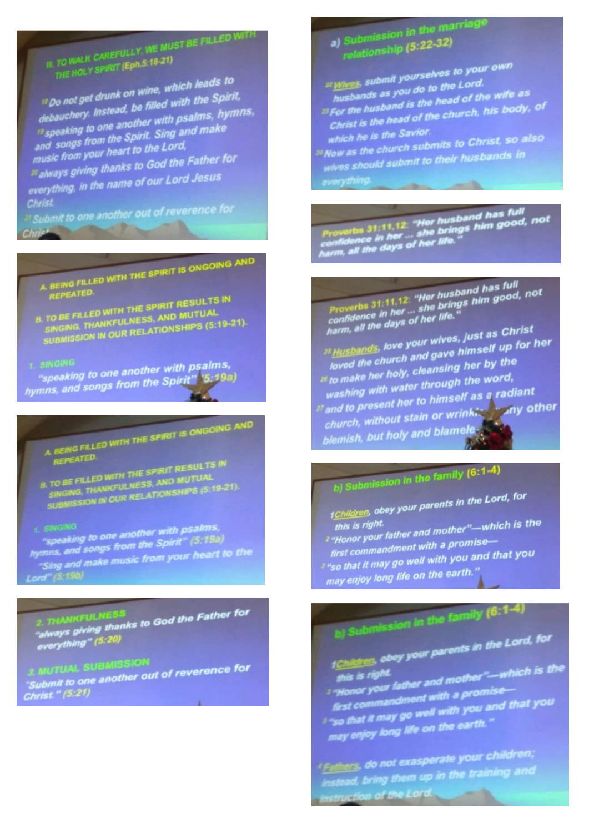# III. TO WALK CAREFULLY, WE MUST BE FILLED WITH THE HOLY SPIRIT (Eph.5:18-21)

<sup>18</sup>Do not get drunk on wine, which leads to debauchery. Instead, be filled with the Spirit, <sup>13</sup> speaking to one another with psalms, hymns, and songs from the Spirit. Sing and make music from your heart to the Lord, to always giving thanks to God the Father for everything, in the name of our Lord Jesus **Christ** 

<sup>21</sup> Submit to one another out of reverence for

- A BEING FILLED WITH THE SPIRIT IS ONGOING AND REPEATED
- 
- **B. TO BE FILLED WITH THE SPIRIT RESULTS IN<br>SINGING, THANKFULNESS, AND MUTUAL<br>SUBMISSION IN OUR RELATIONSHIPS (5:19-21).**

**Chr** 

"speaking to one another with psalms, hymns, and songs from the Spirit" '5:19a)

- 
- A BEING FILLED WITH THE SPIRIT IS ONGOING AND REPEATED. **B. TO BE FILLED WITH THE SPIRIT RESULTS IN<br>SINGING, THANKFULNESS, AND MUTUAL<br>SUBMISSION IN OUR RELATIONSHIPS (5:19-21).**
- 
- "speaking to one another with psalms, hymns, and songs from the Spirit" (5:19a) Sing and make music from your heart to the
- Lord" (5:19b)
	- 2. THANKFULNESS<br>"always giving thanks to God the Father for **THANKFULNES** everything" (5:20)

## **3. MUTUAL SUBMISSION**

"Submit to one another out of reverence for Christ." (5:21)

- a) Submission in the marriage relationship (5:22-32)
	-
- <sup>22</sup> Wives, submit yourselves to your own husbands as you do to the Lord.
- <sup>23</sup> For the husband is the head of the wife as Christ is the head of the church, his body, of
- which he is the Savior. <sup>24</sup> Now as the church submits to Christ, so also wives should submit to their husbands in
- everything.

Proverbs 31:11,12: "Her husband has full<br>confidence in her ... she brings him good, not<br>harm, all the days of her life."



# b) Submission in the family (6:1-4)

- 
- 1Children, obey your parents in the Lord, for
- <sup>2</sup>"Honor your father and mother"-which is the
- first commandment with a promise <sup>3 "so that it may go well with you and that you</sup> may enjoy long life on the earth."
- 

# b) Submission in the family (6:1-4)

- fchildren, obey your parents in the Lord, for
- <sup>2</sup> "Honor your father and mother"-which is the first commandment with a promise-
- <sup>3</sup> "so that it may go well with you and that you
- may enjoy long life on the earth.'

"Fathers, do not exasperate your children; instead, bring them up in the training and instruction of the Lord.